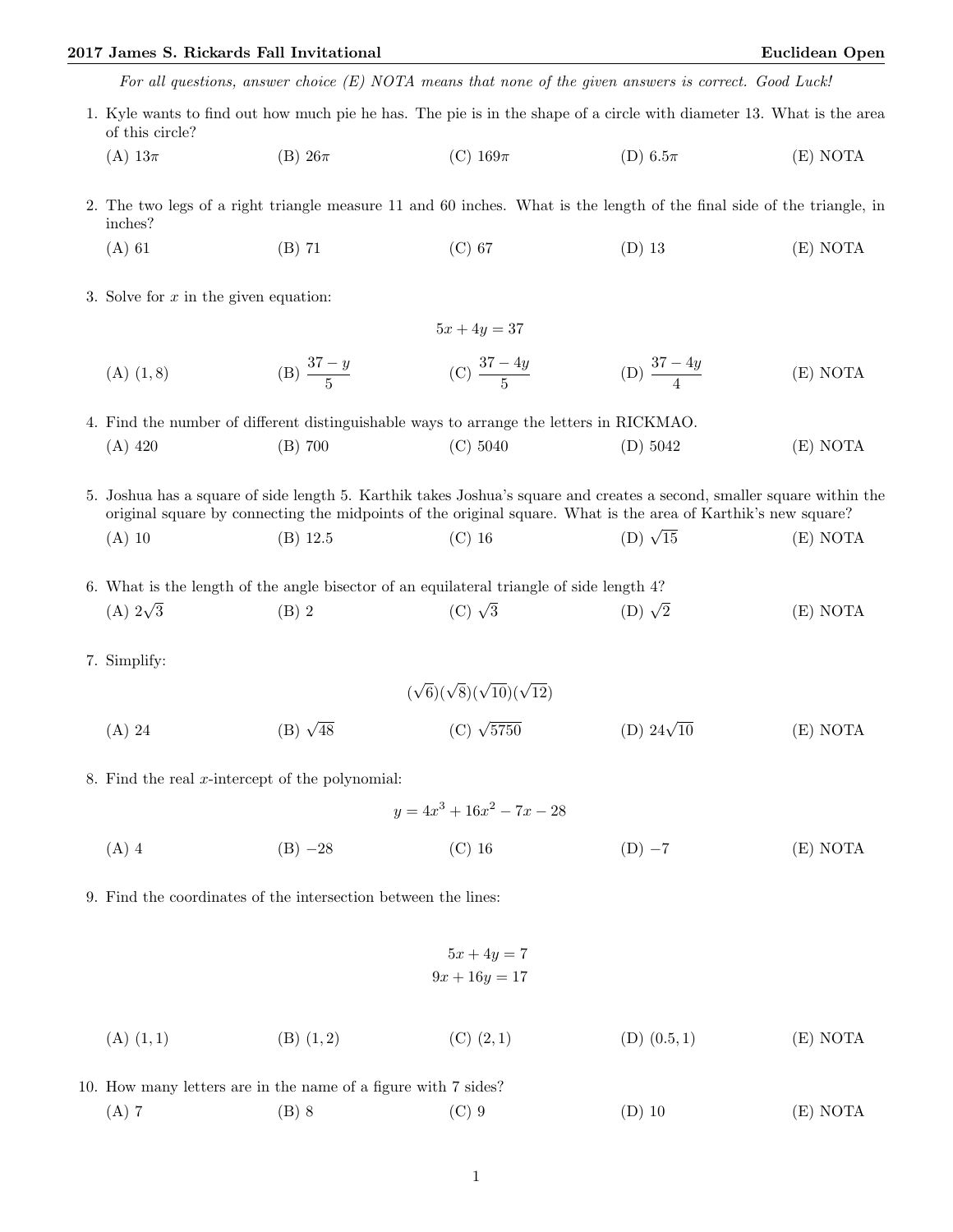## 2017 James S. Rickards Fall Invitational Euclidean Open

|                                                                                                                                                                                                                                         |                      | For all questions, answer choice $(E)$ NOTA means that none of the given answers is correct. Good Luck! |                       |          |  |  |  |  |
|-----------------------------------------------------------------------------------------------------------------------------------------------------------------------------------------------------------------------------------------|----------------------|---------------------------------------------------------------------------------------------------------|-----------------------|----------|--|--|--|--|
| 1. Kyle wants to find out how much pie he has. The pie is in the shape of a circle with diameter 13. What is the area<br>of this circle?                                                                                                |                      |                                                                                                         |                       |          |  |  |  |  |
| (A) $13\pi$                                                                                                                                                                                                                             | $(B)$ 26 $\pi$       | (C) $169\pi$                                                                                            | (D) 6.5 $\pi$         | (E) NOTA |  |  |  |  |
| 2. The two legs of a right triangle measure 11 and 60 inches. What is the length of the final side of the triangle, in<br>inches?                                                                                                       |                      |                                                                                                         |                       |          |  |  |  |  |
| $(A)$ 61                                                                                                                                                                                                                                | $(B)$ 71             | $(C)$ 67                                                                                                | $(D)$ 13              | (E) NOTA |  |  |  |  |
| 3. Solve for $x$ in the given equation:                                                                                                                                                                                                 |                      |                                                                                                         |                       |          |  |  |  |  |
| $5x + 4y = 37$                                                                                                                                                                                                                          |                      |                                                                                                         |                       |          |  |  |  |  |
| $(A)$ $(1, 8)$                                                                                                                                                                                                                          | (B) $\frac{37-y}{5}$ | (C) $\frac{37-4y}{5}$                                                                                   | (D) $\frac{37-4y}{4}$ | (E) NOTA |  |  |  |  |
| 4. Find the number of different distinguishable ways to arrange the letters in RICKMAO.                                                                                                                                                 |                      |                                                                                                         |                       |          |  |  |  |  |
| $(A)$ 420                                                                                                                                                                                                                               | $(B)$ 700            | (C) 5040                                                                                                | (D) 5042              | (E) NOTA |  |  |  |  |
| 5. Joshua has a square of side length 5. Karthik takes Joshua's square and creates a second, smaller square within the<br>original square by connecting the midpoints of the original square. What is the area of Karthik's new square? |                      |                                                                                                         |                       |          |  |  |  |  |
| $(A)$ 10                                                                                                                                                                                                                                | $(B)$ 12.5           | $(C)$ 16                                                                                                | (D) $\sqrt{15}$       | (E) NOTA |  |  |  |  |
| 6. What is the length of the angle bisector of an equilateral triangle of side length 4?                                                                                                                                                |                      |                                                                                                         |                       |          |  |  |  |  |
| (A) $2\sqrt{3}$                                                                                                                                                                                                                         | $(B)$ 2              | (C) $\sqrt{3}$                                                                                          | $(D) \sqrt{2}$        | (E) NOTA |  |  |  |  |
| 7. Simplify:                                                                                                                                                                                                                            |                      |                                                                                                         |                       |          |  |  |  |  |
|                                                                                                                                                                                                                                         |                      | $(\sqrt{6})(\sqrt{8})(\sqrt{10})(\sqrt{12})$                                                            |                       |          |  |  |  |  |

- (A) 24 (B)  $\sqrt{48}$ (C)  $\sqrt{5750}$ (D)  $24\sqrt{10}$ (E) NOTA
- 8. Find the real  $x$ -intercept of the polynomial:
	- $y = 4x^3 + 16x^2 7x 28$ (A) 4 (B) −28 (C) 16 (D) −7 (E) NOTA
- 9. Find the coordinates of the intersection between the lines:

$$
5x + 4y = 7
$$

$$
9x + 16y = 17
$$

- (A)  $(1, 1)$  (B)  $(1, 2)$  (C)  $(2, 1)$  (D)  $(0.5, 1)$  (E) NOTA
- 10. How many letters are in the name of a figure with 7 sides? (A) 7 (B) 8 (C) 9 (D) 10 (E) NOTA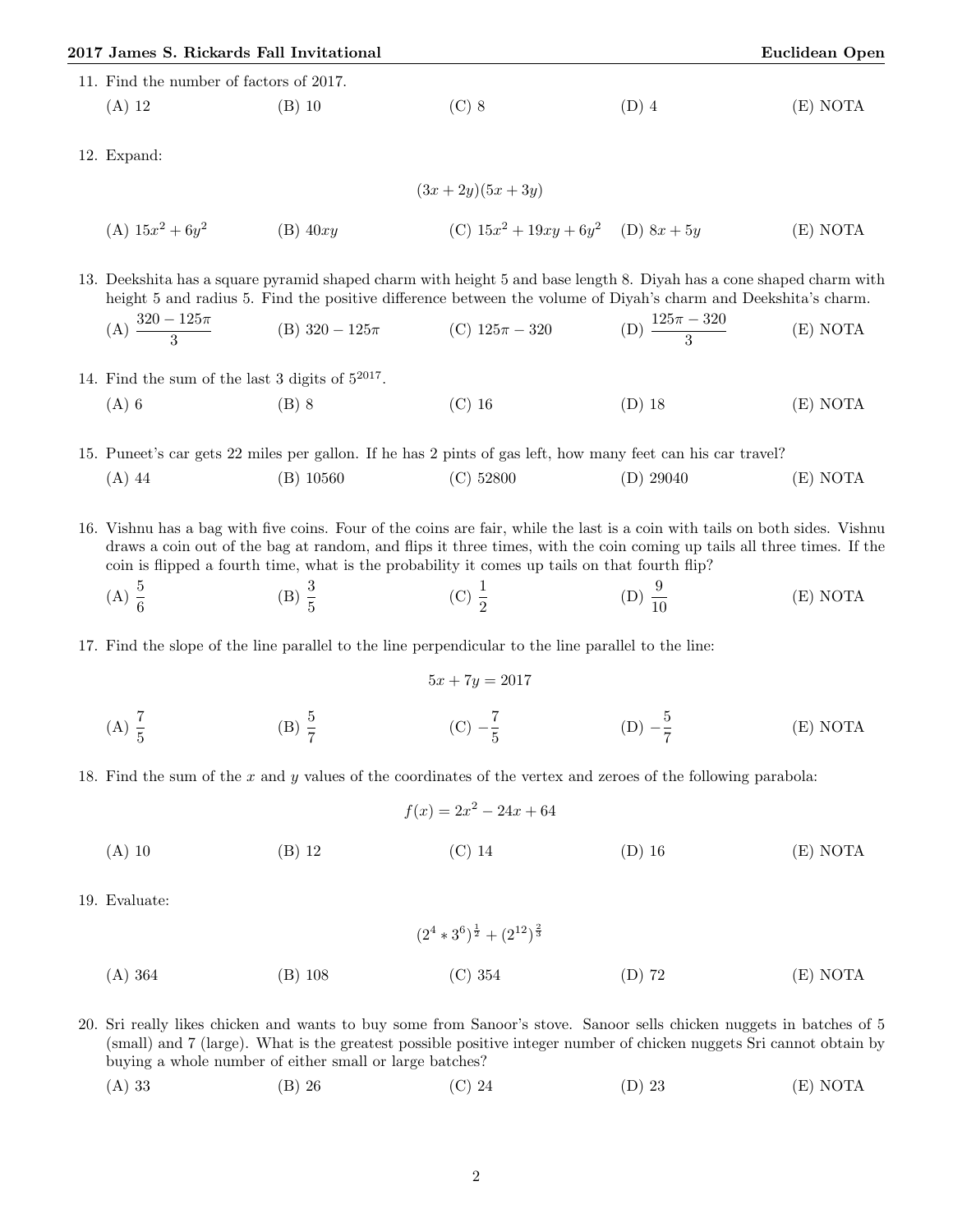|                                         | 2017 James S. Rickards Fall Invitational |         |       | <b>Euclidean Open</b> |  |  |  |  |
|-----------------------------------------|------------------------------------------|---------|-------|-----------------------|--|--|--|--|
| 11. Find the number of factors of 2017. |                                          |         |       |                       |  |  |  |  |
| $(A)$ 12                                | (B) 10                                   | $(C)$ 8 | (D) 4 | (E) NOTA              |  |  |  |  |

12. Expand:

(A) 
$$
15x^2 + 6y^2
$$
 (B)  $40xy$  (C)  $15x^2 + 19xy + 6y^2$  (D)  $8x + 5y$  (E) NOTA

13. Deekshita has a square pyramid shaped charm with height 5 and base length 8. Diyah has a cone shaped charm with height 5 and radius 5. Find the positive difference between the volume of Diyah's charm and Deekshita's charm.

(A) 
$$
\frac{320 - 125\pi}{3}
$$
 (B)  $320 - 125\pi$  (C)  $125\pi - 320$  (D)  $\frac{125\pi - 320}{3}$  (E) NOTA

- 14. Find the sum of the last 3 digits of  $5^{2017}$ .
	- (A) 6 (B) 8 (C) 16 (D) 18 (E) NOTA

15. Puneet's car gets 22 miles per gallon. If he has 2 pints of gas left, how many feet can his car travel? (A) 44 (B) 10560 (C) 52800 (D) 29040 (E) NOTA

16. Vishnu has a bag with five coins. Four of the coins are fair, while the last is a coin with tails on both sides. Vishnu draws a coin out of the bag at random, and flips it three times, with the coin coming up tails all three times. If the coin is flipped a fourth time, what is the probability it comes up tails on that fourth flip?

- (A)  $\frac{5}{6}$ (B)  $\frac{3}{5}$ (C)  $\frac{1}{2}$ (D)  $\frac{9}{10}$ (E) NOTA
- 17. Find the slope of the line parallel to the line perpendicular to the line parallel to the line:

$$
5x + 7y = 2017
$$

(A)  $\frac{7}{5}$ (B)  $\frac{5}{7}$  $(C) - \frac{7}{5}$ 5  $(D) -\frac{5}{7}$ 7 (E) NOTA

18. Find the sum of the x and y values of the coordinates of the vertex and zeroes of the following parabola:

f(x) = 2x <sup>2</sup> − 24x + 64 (A) 10 (B) 12 (C) 14 (D) 16 (E) NOTA

19. Evaluate:

(2<sup>4</sup> ∗ 3 6 ) 1 <sup>2</sup> + (2<sup>12</sup>) 2 3 (A) 364 (B) 108 (C) 354 (D) 72 (E) NOTA

20. Sri really likes chicken and wants to buy some from Sanoor's stove. Sanoor sells chicken nuggets in batches of 5 (small) and 7 (large). What is the greatest possible positive integer number of chicken nuggets Sri cannot obtain by buying a whole number of either small or large batches?

(A) 33 (B) 26 (C) 24 (D) 23 (E) NOTA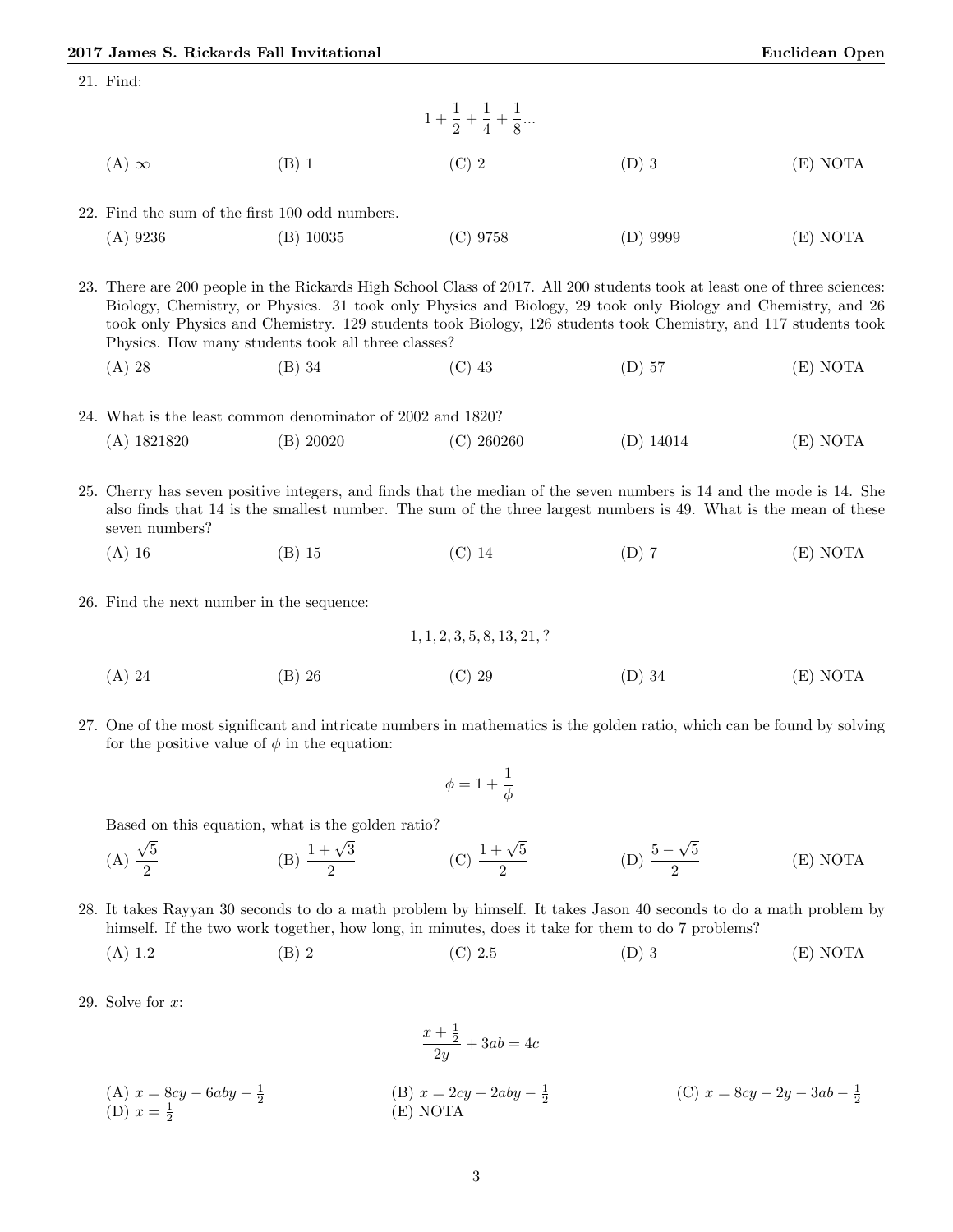| 21. Find:                                                                                                                                                                                                                                                                                                                                                                                                         |             |                                                                                                                         |             |          |  |
|-------------------------------------------------------------------------------------------------------------------------------------------------------------------------------------------------------------------------------------------------------------------------------------------------------------------------------------------------------------------------------------------------------------------|-------------|-------------------------------------------------------------------------------------------------------------------------|-------------|----------|--|
|                                                                                                                                                                                                                                                                                                                                                                                                                   |             | $1+\frac{1}{2}+\frac{1}{4}+\frac{1}{8}$                                                                                 |             |          |  |
| $(A) \infty$                                                                                                                                                                                                                                                                                                                                                                                                      | $(B)$ 1     | $(C)$ 2                                                                                                                 | $(D)$ 3     | (E) NOTA |  |
| 22. Find the sum of the first 100 odd numbers.                                                                                                                                                                                                                                                                                                                                                                    |             |                                                                                                                         |             |          |  |
| $(A)$ 9236                                                                                                                                                                                                                                                                                                                                                                                                        | $(B)$ 10035 | $(C)$ 9758                                                                                                              | $(D)$ 9999  | (E) NOTA |  |
| 23. There are 200 people in the Rickards High School Class of 2017. All 200 students took at least one of three sciences:<br>Biology, Chemistry, or Physics. 31 took only Physics and Biology, 29 took only Biology and Chemistry, and 26<br>took only Physics and Chemistry. 129 students took Biology, 126 students took Chemistry, and 117 students took<br>Physics. How many students took all three classes? |             |                                                                                                                         |             |          |  |
| $(A)$ 28                                                                                                                                                                                                                                                                                                                                                                                                          | $(B)$ 34    | $(C)$ 43                                                                                                                | $(D)$ 57    | (E) NOTA |  |
| 24. What is the least common denominator of 2002 and 1820?                                                                                                                                                                                                                                                                                                                                                        |             |                                                                                                                         |             |          |  |
| $(A)$ 1821820                                                                                                                                                                                                                                                                                                                                                                                                     | (B) 20020   | $(C)$ 260260                                                                                                            | $(D)$ 14014 | (E) NOTA |  |
| 25. Cherry has seven positive integers, and finds that the median of the seven numbers is 14 and the mode is 14. She<br>also finds that 14 is the smallest number. The sum of the three largest numbers is 49. What is the mean of these<br>seven numbers?                                                                                                                                                        |             |                                                                                                                         |             |          |  |
| $(A)$ 16                                                                                                                                                                                                                                                                                                                                                                                                          | $(B)$ 15    | $(C)$ 14                                                                                                                | $(D)$ 7     | (E) NOTA |  |
| 26. Find the next number in the sequence:                                                                                                                                                                                                                                                                                                                                                                         |             |                                                                                                                         |             |          |  |
|                                                                                                                                                                                                                                                                                                                                                                                                                   |             | 1, 1, 2, 3, 5, 8, 13, 21, ?                                                                                             |             |          |  |
| $(A)$ 24                                                                                                                                                                                                                                                                                                                                                                                                          | $(B)$ 26    | $(C)$ 29                                                                                                                | $(D)$ 34    | (E) NOTA |  |
|                                                                                                                                                                                                                                                                                                                                                                                                                   |             | 27. One of the most significant and intricate numbers in mathematics is the golden ratio, which can be found by solving |             |          |  |

for the positive value of  $\phi$  in the equation:

$$
\phi=1+\frac{1}{\phi}
$$

Based on this equation, what is the golden ratio?

(A) 
$$
\frac{\sqrt{5}}{2}
$$
 \t\t (B)  $\frac{1+\sqrt{3}}{2}$  \t\t (C)  $\frac{1+\sqrt{5}}{2}$  \t\t (D)  $\frac{5-\sqrt{5}}{2}$  \t\t (E) NOTA

- 28. It takes Rayyan 30 seconds to do a math problem by himself. It takes Jason 40 seconds to do a math problem by himself. If the two work together, how long, in minutes, does it take for them to do 7 problems?
	- (A) 1.2 (B) 2 (C) 2.5 (D) 3 (E) NOTA
- 29. Solve for  $x$ :

$$
\frac{x + \frac{1}{2}}{2y} + 3ab = 4c
$$
\n(A)  $x = 8cy - 6aby - \frac{1}{2}$   
\n(B)  $x = 2cy - 2aby - \frac{1}{2}$   
\n(C)  $x = 8cy - 2y - 3ab - \frac{1}{2}$   
\n(D)  $x = \frac{1}{2}$   
\n(E) NOTA